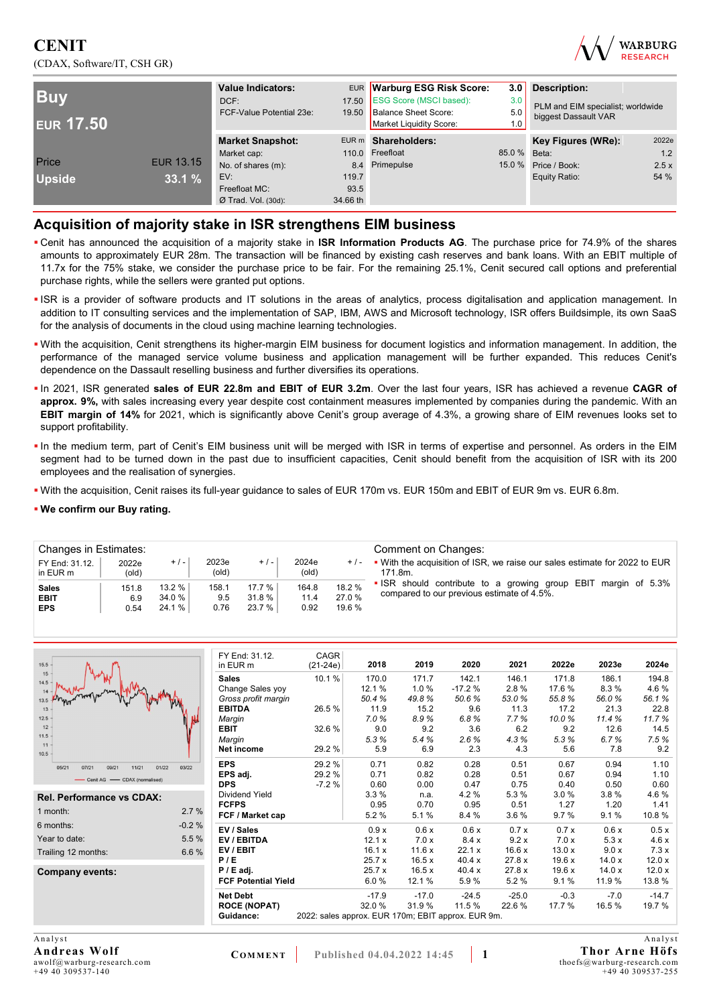## **CENIT**  (CDAX, Software/IT, CSH GR)



| <b>Buv</b><br><b>EUR 17.50</b> |                  | <b>Value Indicators:</b><br>DCF:<br>FCF-Value Potential 23e: |          | EUR Warburg ESG Risk Score:<br>17.50 ESG Score (MSCI based):<br>19.50 Balance Sheet Score:<br>Market Liquidity Score: | 3.0<br>3.0<br>5.0<br>1.0 <sub>1</sub> | <b>Description:</b><br>PLM and EIM specialist; worldwide<br>biggest Dassault VAR |       |  |
|--------------------------------|------------------|--------------------------------------------------------------|----------|-----------------------------------------------------------------------------------------------------------------------|---------------------------------------|----------------------------------------------------------------------------------|-------|--|
|                                |                  | <b>Market Snapshot:</b>                                      |          | EUR m Shareholders:                                                                                                   |                                       | Key Figures (WRe):                                                               | 2022e |  |
|                                |                  | Market cap:                                                  |          | 110.0 Freefloat                                                                                                       | 85.0 % Beta:                          |                                                                                  | 1.2   |  |
| Price                          | <b>EUR 13.15</b> | No. of shares (m):                                           |          | 8.4 Primepulse                                                                                                        | 15.0 %                                | Price / Book:                                                                    | 2.5x  |  |
| <b>Upside</b>                  | 33.1%            | EV:                                                          | 119.7    |                                                                                                                       |                                       | Equity Ratio:                                                                    | 54 %  |  |
|                                |                  | Freefloat MC:                                                | 93.5     |                                                                                                                       |                                       |                                                                                  |       |  |
|                                |                  | $Ø$ Trad. Vol. (30d):                                        | 34.66 th |                                                                                                                       |                                       |                                                                                  |       |  |

## **Acquisition of majority stake in ISR strengthens EIM business**

- Cenit has announced the acquisition of a majority stake in **ISR Information Products AG**. The purchase price for 74.9% of the shares amounts to approximately EUR 28m. The transaction will be financed by existing cash reserves and bank loans. With an EBIT multiple of 11.7x for the 75% stake, we consider the purchase price to be fair. For the remaining 25.1%, Cenit secured call options and preferential purchase rights, while the sellers were granted put options.
- ISR is a provider of software products and IT solutions in the areas of analytics, process digitalisation and application management. In addition to IT consulting services and the implementation of SAP, IBM, AWS and Microsoft technology, ISR offers Buildsimple, its own SaaS for the analysis of documents in the cloud using machine learning technologies.
- With the acquisition, Cenit strengthens its higher-margin EIM business for document logistics and information management. In addition, the performance of the managed service volume business and application management will be further expanded. This reduces Cenit's dependence on the Dassault reselling business and further diversifies its operations.
- In 2021, ISR generated **sales of EUR 22.8m and EBIT of EUR 3.2m**. Over the last four years, ISR has achieved a revenue **CAGR of approx. 9%,** with sales increasing every year despite cost containment measures implemented by companies during the pandemic. With an **EBIT margin of 14%** for 2021, which is significantly above Cenit's group average of 4.3%, a growing share of EIM revenues looks set to support profitability.
- In the medium term, part of Cenit's EIM business unit will be merged with ISR in terms of expertise and personnel. As orders in the EIM segment had to be turned down in the past due to insufficient capacities, Cenit should benefit from the acquisition of ISR with its 200 employees and the realisation of synergies.
- With the acquisition, Cenit raises its full-year guidance to sales of EUR 170m vs. EUR 150m and EBIT of EUR 9m vs. EUR 6.8m.

#### **We confirm our Buy rating.**

| Changes in Estimates:<br>FY End: 31.12.<br>in EUR m | 2022e<br>(old)       | $+/-$                      | 2023e<br>(old)       | $+/-$                      | 2024e<br>$+/-$<br>(old) | Comment on Changes:<br>. With the acquisition of ISR, we raise our sales estimate for 2022 to EUR<br>171.8m. |                                                                                                              |
|-----------------------------------------------------|----------------------|----------------------------|----------------------|----------------------------|-------------------------|--------------------------------------------------------------------------------------------------------------|--------------------------------------------------------------------------------------------------------------|
| <b>Sales</b><br><b>EBIT</b><br><b>EPS</b>           | 151.8<br>6.9<br>0.54 | $13.2\%$<br>34.0%<br>24.1% | 158.1<br>9.5<br>0.76 | 17.7 %<br>31.8 %<br>23.7 % | 164.8<br>11.4<br>0.92   | 18.2 %<br>27.0%<br>19.6 %                                                                                    | • ISR should contribute to a growing group EBIT margin of 5.3%<br>compared to our previous estimate of 4.5%. |

|                            |                                                                                                                                      |                                                 |                                                              |                                                             |                                                                |                                                                                                                   |                                                                 | 2024e                                                          |
|----------------------------|--------------------------------------------------------------------------------------------------------------------------------------|-------------------------------------------------|--------------------------------------------------------------|-------------------------------------------------------------|----------------------------------------------------------------|-------------------------------------------------------------------------------------------------------------------|-----------------------------------------------------------------|----------------------------------------------------------------|
| <b>Sales</b>               | 10.1%                                                                                                                                | 170.0                                           | 171.7                                                        | 142.1                                                       | 146.1                                                          | 171.8                                                                                                             | 186.1                                                           | 194.8                                                          |
|                            |                                                                                                                                      |                                                 |                                                              |                                                             |                                                                |                                                                                                                   |                                                                 | 4.6%                                                           |
|                            |                                                                                                                                      |                                                 |                                                              |                                                             |                                                                |                                                                                                                   |                                                                 | 56.1%                                                          |
|                            |                                                                                                                                      |                                                 |                                                              |                                                             |                                                                |                                                                                                                   |                                                                 | 22.8                                                           |
| Margin                     |                                                                                                                                      |                                                 |                                                              |                                                             |                                                                |                                                                                                                   |                                                                 | 11.7%                                                          |
|                            |                                                                                                                                      |                                                 |                                                              |                                                             |                                                                |                                                                                                                   |                                                                 | 14.5                                                           |
|                            |                                                                                                                                      |                                                 |                                                              |                                                             |                                                                |                                                                                                                   |                                                                 | 7.5%                                                           |
|                            |                                                                                                                                      |                                                 |                                                              |                                                             |                                                                |                                                                                                                   |                                                                 | 9.2                                                            |
| <b>EPS</b>                 | 29.2 %                                                                                                                               | 0.71                                            | 0.82                                                         | 0.28                                                        | 0.51                                                           | 0.67                                                                                                              | 0.94                                                            | 1.10                                                           |
| EPS adi.                   | 29.2%                                                                                                                                | 0.71                                            | 0.82                                                         | 0.28                                                        | 0.51                                                           | 0.67                                                                                                              | 0.94                                                            | 1.10                                                           |
| <b>DPS</b>                 | $-7.2%$                                                                                                                              | 0.60                                            | 0.00                                                         | 0.47                                                        | 0.75                                                           | 0.40                                                                                                              | 0.50                                                            | 0.60                                                           |
| Dividend Yield             |                                                                                                                                      | 3.3%                                            | n.a.                                                         | 4.2%                                                        | 5.3%                                                           | 3.0%                                                                                                              | 3.8%                                                            | 4.6%                                                           |
| <b>FCFPS</b>               |                                                                                                                                      | 0.95                                            | 0.70                                                         | 0.95                                                        | 0.51                                                           | 1.27                                                                                                              | 1.20                                                            | 1.41                                                           |
| FCF / Market cap           |                                                                                                                                      | 5.2%                                            | 5.1%                                                         | 8.4 %                                                       | 3.6%                                                           | 9.7%                                                                                                              | 9.1%                                                            | 10.8%                                                          |
| EV / Sales                 |                                                                                                                                      | 0.9x                                            | 0.6x                                                         | 0.6x                                                        | 0.7x                                                           | 0.7x                                                                                                              | 0.6x                                                            | 0.5x                                                           |
| EV / EBITDA                |                                                                                                                                      | 12.1x                                           | 7.0x                                                         | 8.4x                                                        | 9.2x                                                           | 7.0 x                                                                                                             | 5.3x                                                            | 4.6x                                                           |
| EV/EBIT                    |                                                                                                                                      | 16.1 x                                          | 11.6x                                                        | 22.1 x                                                      | 16.6x                                                          | 13.0x                                                                                                             | 9.0x                                                            | 7.3x                                                           |
| P/E                        |                                                                                                                                      | 25.7x                                           | 16.5x                                                        | 40.4 x                                                      | 27.8 x                                                         | 19.6x                                                                                                             | 14.0x                                                           | 12.0x                                                          |
| $P / E$ adj.               |                                                                                                                                      | 25.7x                                           | 16.5x                                                        | 40.4 x                                                      | 27.8 x                                                         | 19.6x                                                                                                             | 14.0x                                                           | 12.0x                                                          |
| <b>FCF Potential Yield</b> |                                                                                                                                      | 6.0%                                            | 12.1 %                                                       | 5.9%                                                        | 5.2%                                                           | 9.1%                                                                                                              | 11.9 %                                                          | 13.8 %                                                         |
| <b>Net Debt</b>            |                                                                                                                                      | $-17.9$                                         | $-17.0$                                                      | $-24.5$                                                     | $-25.0$                                                        | $-0.3$                                                                                                            | $-7.0$                                                          | $-14.7$                                                        |
| <b>ROCE (NOPAT)</b>        |                                                                                                                                      | 32.0%                                           | 31.9%                                                        | 11.5 %                                                      | 22.6%                                                          | 17.7 %                                                                                                            | 16.5%                                                           | 19.7%                                                          |
| Guidance:                  |                                                                                                                                      |                                                 |                                                              |                                                             |                                                                |                                                                                                                   |                                                                 |                                                                |
|                            |                                                                                                                                      |                                                 |                                                              |                                                             |                                                                |                                                                                                                   |                                                                 |                                                                |
|                            | FY End: 31.12.<br>in EUR m<br>Change Sales yoy<br>Gross profit margin<br><b>EBITDA</b><br><b>EBIT</b><br>Margin<br><b>Net income</b> | CAGR<br>$(21-24e)$<br>26.5 %<br>32.6%<br>29.2 % | 2018<br>12.1%<br>50.4%<br>11.9<br>7.0%<br>9.0<br>5.3%<br>5.9 | 2019<br>1.0%<br>49.8%<br>15.2<br>8.9%<br>9.2<br>5.4%<br>6.9 | 2020<br>$-17.2%$<br>50.6%<br>9.6<br>6.8%<br>3.6<br>2.6%<br>2.3 | 2021<br>2.8%<br>53.0%<br>11.3<br>7.7%<br>6.2<br>4.3%<br>4.3<br>2022: sales approx. EUR 170m; EBIT approx. EUR 9m. | 2022e<br>17.6 %<br>55.8%<br>17.2<br>10.0%<br>9.2<br>5.3%<br>5.6 | 2023e<br>8.3%<br>56.0%<br>21.3<br>11.4%<br>12.6<br>6.7%<br>7.8 |

A n a l y s t **Andreas Wolf**  awolf@warburg-research.com +49 40 309537-140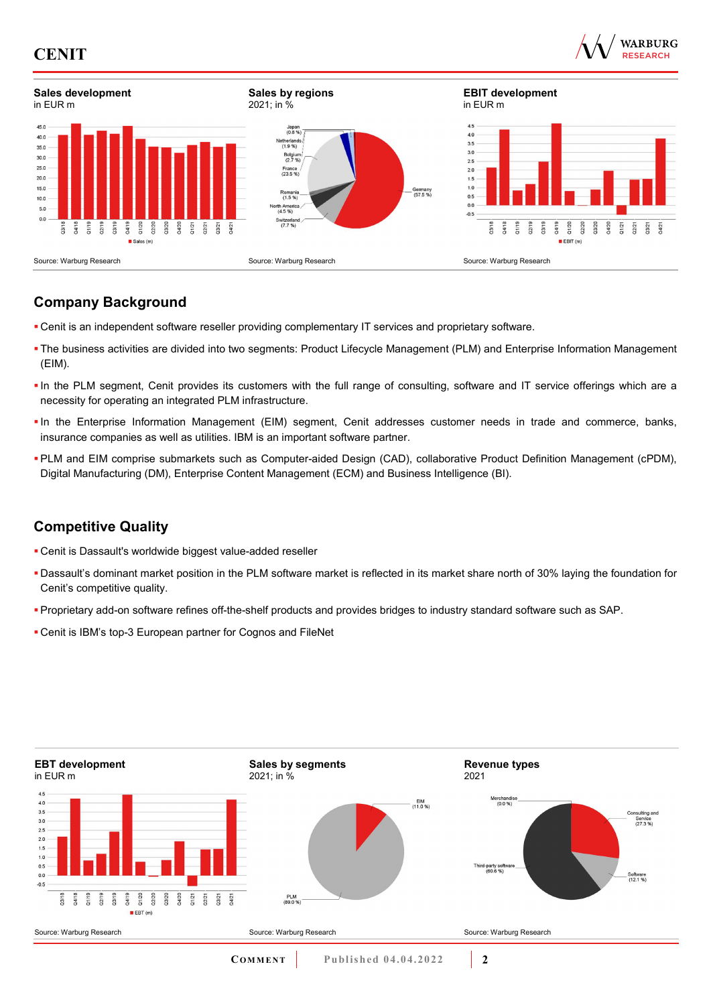





## **Company Background**

- Cenit is an independent software reseller providing complementary IT services and proprietary software.
- The business activities are divided into two segments: Product Lifecycle Management (PLM) and Enterprise Information Management (EIM).
- In the PLM segment, Cenit provides its customers with the full range of consulting, software and IT service offerings which are a necessity for operating an integrated PLM infrastructure.
- In the Enterprise Information Management (EIM) segment, Cenit addresses customer needs in trade and commerce, banks, insurance companies as well as utilities. IBM is an important software partner.
- PLM and EIM comprise submarkets such as Computer-aided Design (CAD), collaborative Product Definition Management (cPDM), Digital Manufacturing (DM), Enterprise Content Management (ECM) and Business Intelligence (BI).

## **Competitive Quality**

- Cenit is Dassault's worldwide biggest value-added reseller
- Dassault's dominant market position in the PLM software market is reflected in its market share north of 30% laying the foundation for Cenit's competitive quality.
- Proprietary add-on software refines off-the-shelf products and provides bridges to industry standard software such as SAP.
- Cenit is IBM's top-3 European partner for Cognos and FileNet

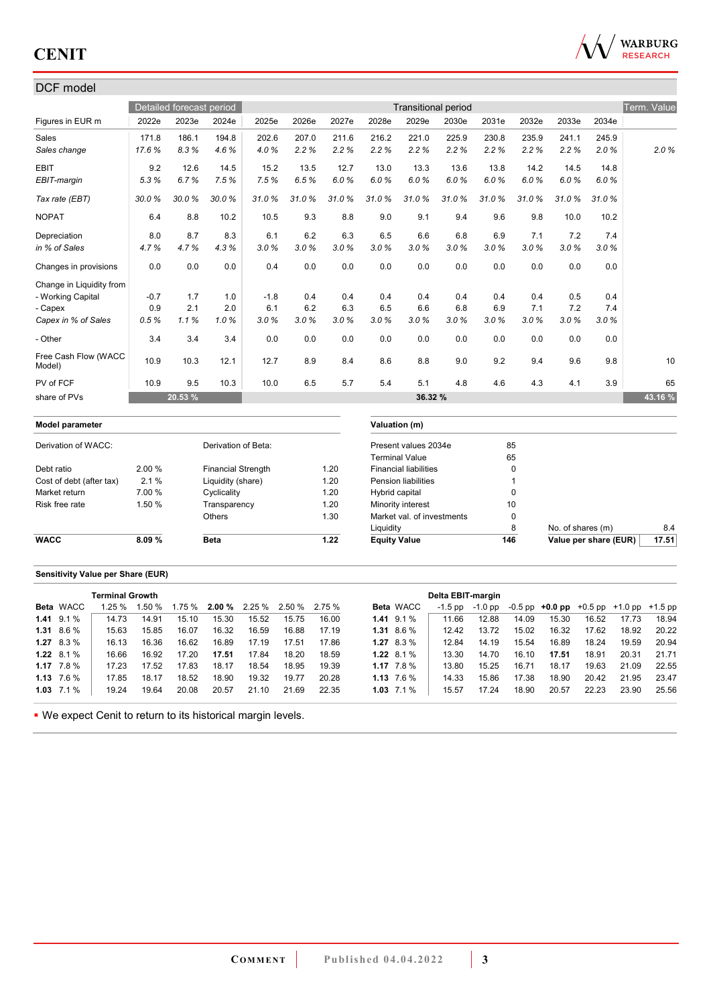

## DCF model

|                                |        | Detailed forecast period |                           |        |       |       |                | <b>Transitional period</b>   |       |       |             |                   |       | Term. Value |
|--------------------------------|--------|--------------------------|---------------------------|--------|-------|-------|----------------|------------------------------|-------|-------|-------------|-------------------|-------|-------------|
| Figures in EUR m               | 2022e  | 2023e                    | 2024e                     | 2025e  | 2026e | 2027e | 2028e          | 2029e                        | 2030e | 2031e | 2032e       | 2033e             | 2034e |             |
| Sales                          | 171.8  | 186.1                    | 194.8                     | 202.6  | 207.0 | 211.6 | 216.2          | 221.0                        | 225.9 | 230.8 | 235.9       | 241.1             | 245.9 |             |
| Sales change                   | 17.6%  | 8.3%                     | 4.6%                      | 4.0%   | 2.2%  | 2.2%  | 2.2%           | 2.2%                         | 2.2%  | 2.2%  | 2.2%        | 2.2%              | 2.0%  | 2.0%        |
| <b>EBIT</b>                    | 9.2    | 12.6                     | 14.5                      | 15.2   | 13.5  | 12.7  | 13.0           | 13.3                         | 13.6  | 13.8  | 14.2        | 14.5              | 14.8  |             |
| EBIT-margin                    | 5.3%   | 6.7%                     | 7.5%                      | 7.5%   | 6.5%  | 6.0%  | 6.0%           | 6.0%                         | 6.0%  | 6.0%  | 6.0%        | 6.0%              | 6.0%  |             |
| Tax rate (EBT)                 | 30.0%  | 30.0%                    | 30.0%                     | 31.0%  | 31.0% | 31.0% | 31.0%          | 31.0%                        | 31.0% | 31.0% | 31.0%       | 31.0%             | 31.0% |             |
| <b>NOPAT</b>                   | 6.4    | 8.8                      | 10.2                      | 10.5   | 9.3   | 8.8   | 9.0            | 9.1                          | 9.4   | 9.6   | 9.8         | 10.0              | 10.2  |             |
| Depreciation                   | 8.0    | 8.7                      | 8.3                       | 6.1    | 6.2   | 6.3   | 6.5            | 6.6                          | 6.8   | 6.9   | 7.1         | 7.2               | 7.4   |             |
| in % of Sales                  | 4.7%   | 4.7%                     | 4.3%                      | 3.0%   | 3.0%  | 3.0%  | 3.0%           | 3.0%                         | 3.0%  | 3.0%  | 3.0%        | 3.0%              | 3.0%  |             |
| Changes in provisions          | 0.0    | 0.0                      | 0.0                       | 0.4    | 0.0   | 0.0   | 0.0            | 0.0                          | 0.0   | 0.0   | 0.0         | 0.0               | 0.0   |             |
| Change in Liquidity from       |        |                          |                           |        |       |       |                |                              |       |       |             |                   |       |             |
| - Working Capital              | $-0.7$ | 1.7                      | 1.0                       | $-1.8$ | 0.4   | 0.4   | 0.4            | 0.4                          | 0.4   | 0.4   | 0.4         | 0.5               | 0.4   |             |
| - Capex                        | 0.9    | 2.1                      | 2.0                       | 6.1    | 6.2   | 6.3   | 6.5            | 6.6                          | 6.8   | 6.9   | 7.1         | 7.2               | 7.4   |             |
| Capex in % of Sales            | 0.5%   | 1.1%                     | 1.0%                      | 3.0%   | 3.0%  | 3.0%  | 3.0%           | 3.0%                         | 3.0%  | 3.0%  | 3.0%        | 3.0%              | 3.0%  |             |
| - Other                        | 3.4    | 3.4                      | 3.4                       | 0.0    | 0.0   | 0.0   | 0.0            | 0.0                          | 0.0   | 0.0   | 0.0         | 0.0               | 0.0   |             |
| Free Cash Flow (WACC<br>Model) | 10.9   | 10.3                     | 12.1                      | 12.7   | 8.9   | 8.4   | 8.6            | 8.8                          | 9.0   | 9.2   | 9.4         | 9.6               | 9.8   | 10          |
| PV of FCF                      | 10.9   | 9.5                      | 10.3                      | 10.0   | 6.5   | 5.7   | 5.4            | 5.1                          | 4.8   | 4.6   | 4.3         | 4.1               | 3.9   | 65          |
| share of PVs                   |        | 20.53 %                  |                           |        |       |       |                | 36.32 %                      |       |       |             |                   |       | 43.16 %     |
| <b>Model parameter</b>         |        |                          |                           |        |       |       |                | Valuation (m)                |       |       |             |                   |       |             |
| Derivation of WACC:            |        |                          | Derivation of Beta:       |        |       |       |                | Present values 2034e         |       |       | 85          |                   |       |             |
|                                |        |                          |                           |        |       |       |                | <b>Terminal Value</b>        |       |       | 65          |                   |       |             |
| Debt ratio                     | 2.00 % |                          | <b>Financial Strength</b> |        |       | 1.20  |                | <b>Financial liabilities</b> |       |       | $\mathbf 0$ |                   |       |             |
| Cost of debt (after tax)       | 2.1%   |                          | Liquidity (share)         |        |       | 1.20  |                | Pension liabilities          |       |       | 1           |                   |       |             |
| Market return                  | 7.00 % |                          | Cyclicality               |        |       | 1.20  | Hybrid capital |                              |       |       | $\mathbf 0$ |                   |       |             |
| Risk free rate                 | 1.50 % |                          | Transparency              |        |       | 1.20  |                | Minority interest            |       |       | 10          |                   |       |             |
|                                |        |                          | Others                    |        |       | 1.30  |                | Market val. of investments   |       |       | $\mathbf 0$ |                   |       |             |
|                                |        |                          |                           |        |       |       | Liquidity      |                              |       |       | 8           | No. of shares (m) |       | 8.4         |

## **Sensitivity Value per Share (EUR)**

|                    | <b>Terminal Growth</b> |        |       |       |       |                               |        |                |                  | Delta EBIT-margin |         |       |                                                   |       |       |       |
|--------------------|------------------------|--------|-------|-------|-------|-------------------------------|--------|----------------|------------------|-------------------|---------|-------|---------------------------------------------------|-------|-------|-------|
| <b>Beta WACC</b>   | 1.25%                  | 1.50 % |       |       |       | $1.75\%$ 2.00 % 2.25 % 2.50 % | 2.75 % |                | <b>Beta WACC</b> | -1.5 pp           | -1.0 pp |       | $-0.5$ pp $+0.0$ pp $+0.5$ pp $+1.0$ pp $+1.5$ pp |       |       |       |
| $1.41$ 9.1 %       | 14.73                  | 14.91  | 15.10 | 15.30 | 15.52 | 15.75                         | 16.00  | $1.41$ 9.1 %   |                  | 11.66             | 12.88   | 14.09 | 15.30                                             | 16.52 | 17.73 | 18.94 |
| $1.31$ 8.6 %       | 15.63                  | 15.85  | 16.07 | 16.32 | 16.59 | 16.88                         | 17.19  | $1.31$ 8.6 %   |                  | 12.42             | 13.72   | 15.02 | 16.32                                             | 17.62 | 18.92 | 20.22 |
| $1.27$ 8.3 %       | 16.13                  | 16.36  | 16.62 | 16.89 | 17.19 | 17.51                         | 17.86  | $1.27$ 8.3 %   |                  | 12.84             | 14.19   | 15.54 | 16.89                                             | 18.24 | 19.59 | 20.94 |
| $1.22 \quad 8.1\%$ | 16.66                  | 16.92  | 17.20 | 17.51 | 17.84 | 18.20                         | 18.59  | 1.22 $8.1\%$   |                  | 13.30             | 14.70   | 16.10 | 17.51                                             | 18.91 | 20.31 | 21.71 |
| 1.17 $7.8\%$       | 17.23                  | 17.52  | 17.83 | 18.17 | 18.54 | 18.95                         | 19.39  | 1.17 $7.8\%$   |                  | 13.80             | 15.25   | 16.71 | 18.17                                             | 19.63 | 21.09 | 22.55 |
| 1.13 $7.6\%$       | 17.85                  | 18.17  | 18.52 | 18.90 | 19.32 | 19.77                         | 20.28  | $1.13 \t7.6\%$ |                  | 14.33             | 15.86   | 17.38 | 18.90                                             | 20.42 | 21.95 | 23.47 |
| $1.03$ $7.1\%$     | 19.24                  | 19.64  | 20.08 | 20.57 | 21.10 | 21.69                         | 22.35  | $1.03$ $7.1\%$ |                  | 15.57             | 17.24   | 18.90 | 20.57                                             | 22.23 | 23.90 | 25.56 |

**WACC 8.09 % Beta 1.22 Equity Value 146 Value per share (EUR) 17.51**

We expect Cenit to return to its historical margin levels.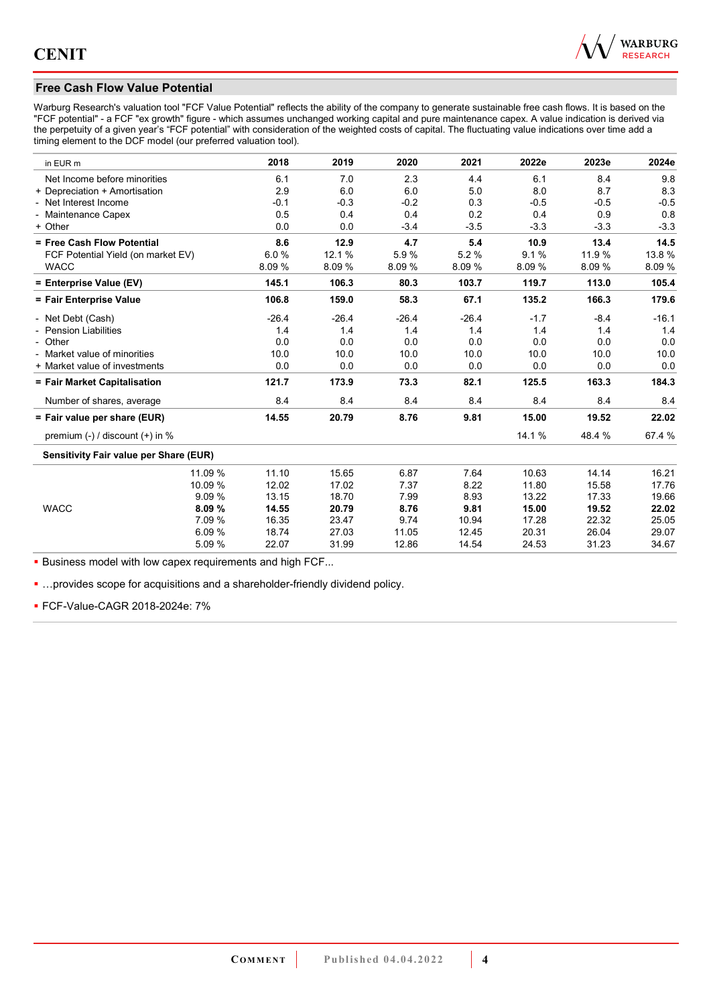

## **Free Cash Flow Value Potential**

Warburg Research's valuation tool "FCF Value Potential" reflects the ability of the company to generate sustainable free cash flows. It is based on the "FCF potential" - a FCF "ex growth" figure - which assumes unchanged working capital and pure maintenance capex. A value indication is derived via the perpetuity of a given year's "FCF potential" with consideration of the weighted costs of capital. The fluctuating value indications over time add a timing element to the DCF model (our preferred valuation tool).

| in EUR m                               | 2018    | 2019    | 2020    | 2021    | 2022e  | 2023e  | 2024e   |
|----------------------------------------|---------|---------|---------|---------|--------|--------|---------|
| Net Income before minorities           | 6.1     | 7.0     | 2.3     | 4.4     | 6.1    | 8.4    | 9.8     |
| + Depreciation + Amortisation          | 2.9     | 6.0     | 6.0     | 5.0     | 8.0    | 8.7    | 8.3     |
| - Net Interest Income                  | $-0.1$  | $-0.3$  | $-0.2$  | 0.3     | $-0.5$ | $-0.5$ | $-0.5$  |
| - Maintenance Capex                    | 0.5     | 0.4     | 0.4     | 0.2     | 0.4    | 0.9    | 0.8     |
| + Other                                | 0.0     | 0.0     | $-3.4$  | $-3.5$  | $-3.3$ | $-3.3$ | $-3.3$  |
| = Free Cash Flow Potential             | 8.6     | 12.9    | 4.7     | 5.4     | 10.9   | 13.4   | 14.5    |
| FCF Potential Yield (on market EV)     | 6.0%    | 12.1 %  | 5.9%    | 5.2%    | 9.1%   | 11.9%  | 13.8%   |
| <b>WACC</b>                            | 8.09%   | 8.09%   | 8.09%   | 8.09%   | 8.09 % | 8.09%  | 8.09%   |
| = Enterprise Value (EV)                | 145.1   | 106.3   | 80.3    | 103.7   | 119.7  | 113.0  | 105.4   |
| = Fair Enterprise Value                | 106.8   | 159.0   | 58.3    | 67.1    | 135.2  | 166.3  | 179.6   |
| - Net Debt (Cash)                      | $-26.4$ | $-26.4$ | $-26.4$ | $-26.4$ | $-1.7$ | $-8.4$ | $-16.1$ |
| - Pension Liabilities                  | 1.4     | 1.4     | 1.4     | 1.4     | 1.4    | 1.4    | 1.4     |
| - Other                                | 0.0     | 0.0     | 0.0     | 0.0     | 0.0    | 0.0    | 0.0     |
| - Market value of minorities           | 10.0    | 10.0    | 10.0    | 10.0    | 10.0   | 10.0   | 10.0    |
| + Market value of investments          | 0.0     | 0.0     | 0.0     | 0.0     | 0.0    | 0.0    | 0.0     |
| = Fair Market Capitalisation           | 121.7   | 173.9   | 73.3    | 82.1    | 125.5  | 163.3  | 184.3   |
| Number of shares, average              | 8.4     | 8.4     | 8.4     | 8.4     | 8.4    | 8.4    | 8.4     |
| = Fair value per share (EUR)           | 14.55   | 20.79   | 8.76    | 9.81    | 15.00  | 19.52  | 22.02   |
| premium $(-)$ / discount $(+)$ in %    |         |         |         |         | 14.1 % | 48.4 % | 67.4 %  |
| Sensitivity Fair value per Share (EUR) |         |         |         |         |        |        |         |
| 11.09 %                                | 11.10   | 15.65   | 6.87    | 7.64    | 10.63  | 14.14  | 16.21   |
| 10.09 %                                | 12.02   | 17.02   | 7.37    | 8.22    | 11.80  | 15.58  | 17.76   |
| 9.09%                                  | 13.15   | 18.70   | 7.99    | 8.93    | 13.22  | 17.33  | 19.66   |
| <b>WACC</b><br>8.09%                   | 14.55   | 20.79   | 8.76    | 9.81    | 15.00  | 19.52  | 22.02   |
| 7.09 %                                 | 16.35   | 23.47   | 9.74    | 10.94   | 17.28  | 22.32  | 25.05   |
| 6.09%                                  | 18.74   | 27.03   | 11.05   | 12.45   | 20.31  | 26.04  | 29.07   |
| 5.09 %                                 | 22.07   | 31.99   | 12.86   | 14.54   | 24.53  | 31.23  | 34.67   |

**Business model with low capex requirements and high FCF...** 

**...** provides scope for acquisitions and a shareholder-friendly dividend policy.

FCF-Value-CAGR 2018-2024e: 7%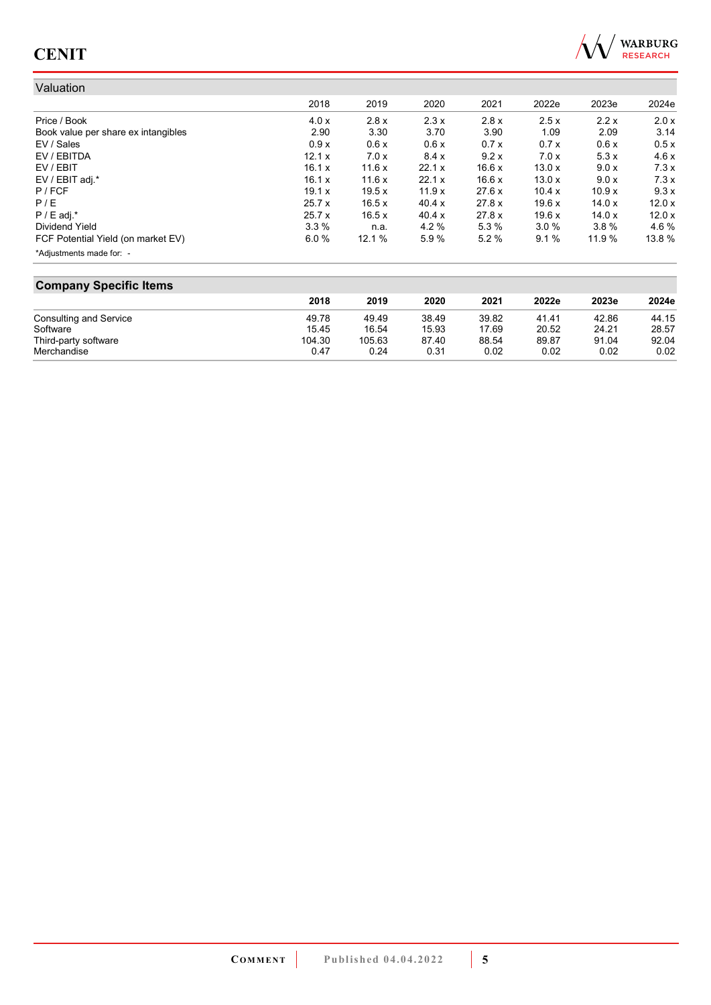

#### Valuation 2018 2019 2020 2021 2022e 2023e 2024e Price / Book 4.0 x 2.8 x 2.3 x 2.8 x 2.5 x 2.2 x 2.0 x Book value per share ex intangibles 2.90 3.30 3.70 3.90 1.09 2.09 3.14 EV / Sales 0.9 x 0.6 x 0.6 x 0.7 x 0.7 x 0.6 x 0.5 x EV / EBITDA 12.1 x 7.0 x 8.4 x 9.2 x 7.0 x 5.3 x 4.6 x EV / EBIT 16.1 x 11.6 x 22.1 x 16.6 x 13.0 x 9.0 x 7.3 x EV / EBIT adj.\*<br>P / FCF 19.1 x 19.5 x 11.9 x 27.6 x 10.4 x 10.9 x 9.3 x P / FCF 19.1 x 19.5 x 11.9 x 27.6 x 10.4 x 10.9 x 9.3 x P / E 25.7 x 16.5 x 40.4 x 27.8 x 19.6 x 14.0 x 12.0 x P / E adj.\* 25.7 x 16.5 x 40.4 x 27.8 x 19.6 x 14.0 x 12.0 x Dividend Yield 3.3 % n.a. 4.2 % 5.3 % 3.0 % 3.8 % 4.6 % FCF Potential Yield (on market EV) 6.0 % 12.1 % 5.9 % 5.2 % 9.1 % 11.9 % 13.8 % \*Adjustments made for: -

#### **Company Specific Items**

|                        | 2018   | 2019   | 2020  | 2021  | 2022e | 2023e | 2024e |
|------------------------|--------|--------|-------|-------|-------|-------|-------|
| Consulting and Service | 49.78  | 49.49  | 38.49 | 39.82 | 41.41 | 42.86 | 44.15 |
| Software               | 15.45  | 16.54  | 15.93 | 17.69 | 20.52 | 24.21 | 28.57 |
| Third-party software   | 104.30 | 105.63 | 87.40 | 88.54 | 89.87 | 91.04 | 92.04 |
| Merchandise            | 0.47   | 0.24   | 0.31  | 0.02  | 0.02  | 0.02  | 0.02  |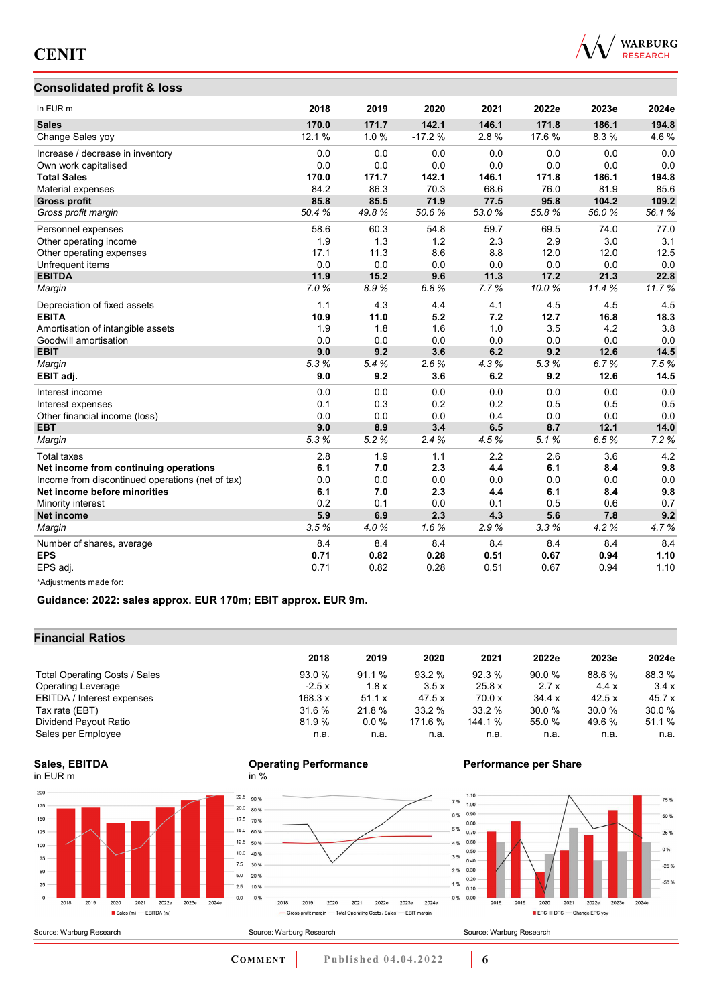

## **Consolidated profit & loss**

| In EUR <sub>m</sub>                              | 2018   | 2019  | 2020     | 2021  | 2022e  | 2023e | 2024e |
|--------------------------------------------------|--------|-------|----------|-------|--------|-------|-------|
| <b>Sales</b>                                     | 170.0  | 171.7 | 142.1    | 146.1 | 171.8  | 186.1 | 194.8 |
| Change Sales yoy                                 | 12.1 % | 1.0%  | $-17.2%$ | 2.8%  | 17.6 % | 8.3%  | 4.6%  |
| Increase / decrease in inventory                 | 0.0    | 0.0   | 0.0      | 0.0   | 0.0    | 0.0   | 0.0   |
| Own work capitalised                             | 0.0    | 0.0   | 0.0      | 0.0   | 0.0    | 0.0   | 0.0   |
| <b>Total Sales</b>                               | 170.0  | 171.7 | 142.1    | 146.1 | 171.8  | 186.1 | 194.8 |
| Material expenses                                | 84.2   | 86.3  | 70.3     | 68.6  | 76.0   | 81.9  | 85.6  |
| <b>Gross profit</b>                              | 85.8   | 85.5  | 71.9     | 77.5  | 95.8   | 104.2 | 109.2 |
| Gross profit margin                              | 50.4%  | 49.8% | 50.6%    | 53.0% | 55.8%  | 56.0% | 56.1% |
| Personnel expenses                               | 58.6   | 60.3  | 54.8     | 59.7  | 69.5   | 74.0  | 77.0  |
| Other operating income                           | 1.9    | 1.3   | 1.2      | 2.3   | 2.9    | 3.0   | 3.1   |
| Other operating expenses                         | 17.1   | 11.3  | 8.6      | 8.8   | 12.0   | 12.0  | 12.5  |
| Unfrequent items                                 | 0.0    | 0.0   | 0.0      | 0.0   | 0.0    | 0.0   | 0.0   |
| <b>EBITDA</b>                                    | 11.9   | 15.2  | 9.6      | 11.3  | 17.2   | 21.3  | 22.8  |
| Margin                                           | 7.0%   | 8.9%  | 6.8%     | 7.7%  | 10.0%  | 11.4% | 11.7% |
| Depreciation of fixed assets                     | 1.1    | 4.3   | 4.4      | 4.1   | 4.5    | 4.5   | 4.5   |
| <b>EBITA</b>                                     | 10.9   | 11.0  | 5.2      | 7.2   | 12.7   | 16.8  | 18.3  |
| Amortisation of intangible assets                | 1.9    | 1.8   | 1.6      | 1.0   | 3.5    | 4.2   | 3.8   |
| Goodwill amortisation                            | 0.0    | 0.0   | 0.0      | 0.0   | 0.0    | 0.0   | 0.0   |
| <b>EBIT</b>                                      | 9.0    | 9.2   | 3.6      | 6.2   | 9.2    | 12.6  | 14.5  |
| Margin                                           | 5.3%   | 5.4%  | 2.6%     | 4.3%  | 5.3%   | 6.7%  | 7.5%  |
| EBIT adj.                                        | 9.0    | 9.2   | 3.6      | 6.2   | 9.2    | 12.6  | 14.5  |
| Interest income                                  | 0.0    | 0.0   | 0.0      | 0.0   | 0.0    | 0.0   | 0.0   |
| Interest expenses                                | 0.1    | 0.3   | 0.2      | 0.2   | 0.5    | 0.5   | 0.5   |
| Other financial income (loss)                    | 0.0    | 0.0   | 0.0      | 0.4   | 0.0    | 0.0   | 0.0   |
| <b>EBT</b>                                       | 9.0    | 8.9   | 3.4      | 6.5   | 8.7    | 12.1  | 14.0  |
| Margin                                           | 5.3%   | 5.2%  | 2.4%     | 4.5%  | 5.1%   | 6.5%  | 7.2%  |
| <b>Total taxes</b>                               | 2.8    | 1.9   | 1.1      | 2.2   | 2.6    | 3.6   | 4.2   |
| Net income from continuing operations            | 6.1    | 7.0   | 2.3      | 4.4   | 6.1    | 8.4   | 9.8   |
| Income from discontinued operations (net of tax) | 0.0    | 0.0   | 0.0      | 0.0   | 0.0    | 0.0   | 0.0   |
| Net income before minorities                     | 6.1    | 7.0   | 2.3      | 4.4   | 6.1    | 8.4   | 9.8   |
| Minority interest                                | 0.2    | 0.1   | 0.0      | 0.1   | 0.5    | 0.6   | 0.7   |
| <b>Net income</b>                                | 5.9    | 6.9   | 2.3      | 4.3   | 5.6    | 7.8   | 9.2   |
| Margin                                           | 3.5%   | 4.0%  | 1.6%     | 2.9%  | 3.3%   | 4.2%  | 4.7%  |
| Number of shares, average                        | 8.4    | 8.4   | 8.4      | 8.4   | 8.4    | 8.4   | 8.4   |
| <b>EPS</b>                                       | 0.71   | 0.82  | 0.28     | 0.51  | 0.67   | 0.94  | 1.10  |
| EPS adj.                                         | 0.71   | 0.82  | 0.28     | 0.51  | 0.67   | 0.94  | 1.10  |
| *Adjustments made for:                           |        |       |          |       |        |       |       |

**Guidance: 2022: sales approx. EUR 170m; EBIT approx. EUR 9m.**

## **Financial Ratios**

|                               | 2018    | 2019    | 2020    | 2021    | 2022e  | 2023e  | 2024e  |
|-------------------------------|---------|---------|---------|---------|--------|--------|--------|
| Total Operating Costs / Sales | 93.0%   | 91.1%   | 93.2%   | 92.3%   | 90.0%  | 88.6%  | 88.3%  |
| <b>Operating Leverage</b>     | $-2.5x$ | 1.8x    | 3.5x    | 25.8x   | 2.7x   | 4.4x   | 3.4x   |
| EBITDA / Interest expenses    | 168.3 x | 51.1 x  | 47.5 x  | 70.0 x  | 34.4 x | 42.5x  | 45.7 x |
| Tax rate (EBT)                | 31.6 %  | 21.8 %  | 33.2 %  | 33.2 %  | 30.0 % | 30.0 % | 30.0 % |
| Dividend Payout Ratio         | 81.9%   | $0.0\%$ | 171.6 % | 144.1 % | 55.0 % | 49.6 % | 51.1 % |
| Sales per Employee            | n.a.    | n.a.    | n.a.    | n.a.    | n.a.   | n.a.   | n.a.   |







 $2019$ 

2018





**COMMENT** Published 04.04.2022 **6** 

2020 2021 2022e 2023e 2024e

- Gross profit margin - Total Operating Costs / Sales - EBIT margin

7%

6%

5 %

3 %

1 %

 $0%$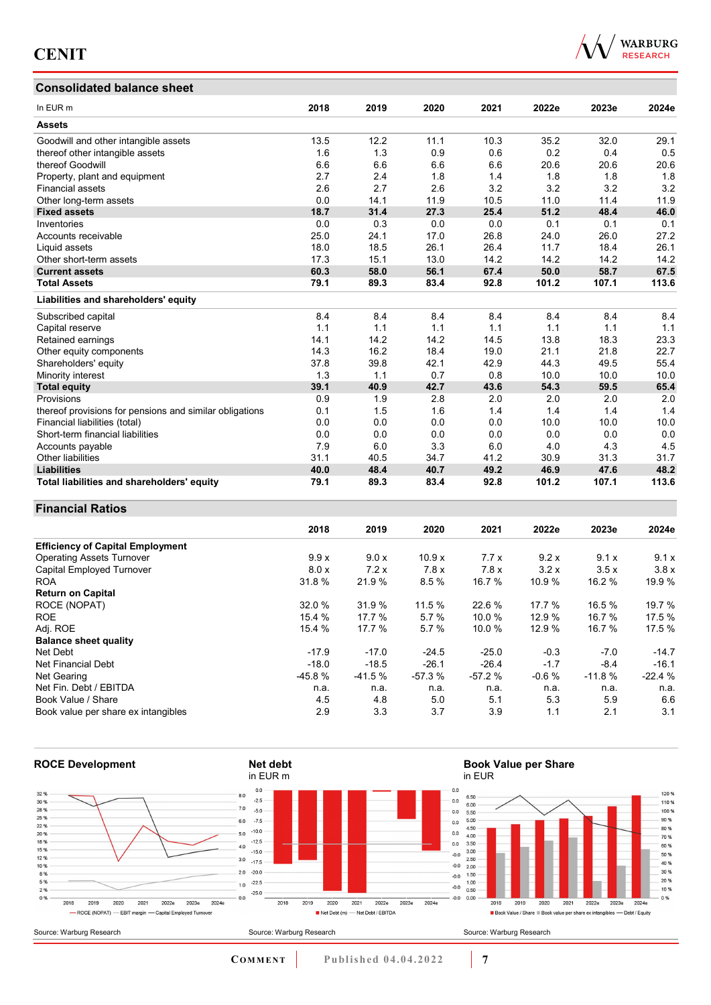### **Consolidated balance sheet**



| <b>Consolidated balance sheet</b>                       |      |      |      |      |       |       |       |
|---------------------------------------------------------|------|------|------|------|-------|-------|-------|
| In EUR <sub>m</sub>                                     | 2018 | 2019 | 2020 | 2021 | 2022e | 2023e | 2024e |
| <b>Assets</b>                                           |      |      |      |      |       |       |       |
| Goodwill and other intangible assets                    | 13.5 | 12.2 | 11.1 | 10.3 | 35.2  | 32.0  | 29.1  |
| thereof other intangible assets                         | 1.6  | 1.3  | 0.9  | 0.6  | 0.2   | 0.4   | 0.5   |
| thereof Goodwill                                        | 6.6  | 6.6  | 6.6  | 6.6  | 20.6  | 20.6  | 20.6  |
| Property, plant and equipment                           | 2.7  | 2.4  | 1.8  | 1.4  | 1.8   | 1.8   | 1.8   |
| <b>Financial assets</b>                                 | 2.6  | 2.7  | 2.6  | 3.2  | 3.2   | 3.2   | 3.2   |
| Other long-term assets                                  | 0.0  | 14.1 | 11.9 | 10.5 | 11.0  | 11.4  | 11.9  |
| <b>Fixed assets</b>                                     | 18.7 | 31.4 | 27.3 | 25.4 | 51.2  | 48.4  | 46.0  |
| Inventories                                             | 0.0  | 0.3  | 0.0  | 0.0  | 0.1   | 0.1   | 0.1   |
| Accounts receivable                                     | 25.0 | 24.1 | 17.0 | 26.8 | 24.0  | 26.0  | 27.2  |
| Liquid assets                                           | 18.0 | 18.5 | 26.1 | 26.4 | 11.7  | 18.4  | 26.1  |
| Other short-term assets                                 | 17.3 | 15.1 | 13.0 | 14.2 | 14.2  | 14.2  | 14.2  |
| <b>Current assets</b>                                   | 60.3 | 58.0 | 56.1 | 67.4 | 50.0  | 58.7  | 67.5  |
| <b>Total Assets</b>                                     | 79.1 | 89.3 | 83.4 | 92.8 | 101.2 | 107.1 | 113.6 |
| Liabilities and shareholders' equity                    |      |      |      |      |       |       |       |
| Subscribed capital                                      | 8.4  | 8.4  | 8.4  | 8.4  | 8.4   | 8.4   | 8.4   |
| Capital reserve                                         | 1.1  | 1.1  | 1.1  | 1.1  | 1.1   | 1.1   | 1.1   |
| Retained earnings                                       | 14.1 | 14.2 | 14.2 | 14.5 | 13.8  | 18.3  | 23.3  |
| Other equity components                                 | 14.3 | 16.2 | 18.4 | 19.0 | 21.1  | 21.8  | 22.7  |
| Shareholders' equity                                    | 37.8 | 39.8 | 42.1 | 42.9 | 44.3  | 49.5  | 55.4  |
| Minority interest                                       | 1.3  | 1.1  | 0.7  | 0.8  | 10.0  | 10.0  | 10.0  |
| <b>Total equity</b>                                     | 39.1 | 40.9 | 42.7 | 43.6 | 54.3  | 59.5  | 65.4  |
| Provisions                                              | 0.9  | 1.9  | 2.8  | 2.0  | 2.0   | 2.0   | 2.0   |
| thereof provisions for pensions and similar obligations | 0.1  | 1.5  | 1.6  | 1.4  | 1.4   | 1.4   | 1.4   |
| Financial liabilities (total)                           | 0.0  | 0.0  | 0.0  | 0.0  | 10.0  | 10.0  | 10.0  |
| Short-term financial liabilities                        | 0.0  | 0.0  | 0.0  | 0.0  | 0.0   | 0.0   | 0.0   |
| Accounts payable                                        | 7.9  | 6.0  | 3.3  | 6.0  | 4.0   | 4.3   | 4.5   |
| <b>Other liabilities</b>                                | 31.1 | 40.5 | 34.7 | 41.2 | 30.9  | 31.3  | 31.7  |
| <b>Liabilities</b>                                      | 40.0 | 48.4 | 40.7 | 49.2 | 46.9  | 47.6  | 48.2  |
| Total liabilities and shareholders' equity              | 79.1 | 89.3 | 83.4 | 92.8 | 101.2 | 107.1 | 113.6 |

## **Financial Ratios**

|                                         | 2018     | 2019     | 2020     | 2021     | 2022e   | 2023e    | 2024e    |
|-----------------------------------------|----------|----------|----------|----------|---------|----------|----------|
| <b>Efficiency of Capital Employment</b> |          |          |          |          |         |          |          |
| <b>Operating Assets Turnover</b>        | 9.9x     | 9.0 x    | 10.9x    | 7.7x     | 9.2 x   | 9.1x     | 9.1x     |
| Capital Employed Turnover               | 8.0 x    | 7.2x     | 7.8x     | 7.8x     | 3.2x    | 3.5x     | 3.8x     |
| <b>ROA</b>                              | 31.8 %   | 21.9 %   | 8.5%     | 16.7 %   | 10.9 %  | 16.2 %   | 19.9 %   |
| <b>Return on Capital</b>                |          |          |          |          |         |          |          |
| ROCE (NOPAT)                            | 32.0 %   | 31.9%    | 11.5 %   | 22.6 %   | 17.7 %  | 16.5 %   | 19.7 %   |
| <b>ROE</b>                              | 15.4 %   | 17.7 %   | 5.7%     | 10.0%    | 12.9 %  | 16.7 %   | 17.5 %   |
| Adj. ROE                                | 15.4 %   | 17.7 %   | 5.7%     | 10.0%    | 12.9 %  | 16.7 %   | 17.5 %   |
| <b>Balance sheet quality</b>            |          |          |          |          |         |          |          |
| Net Debt                                | $-17.9$  | $-17.0$  | $-24.5$  | $-25.0$  | $-0.3$  | $-7.0$   | $-14.7$  |
| Net Financial Debt                      | $-18.0$  | $-18.5$  | $-26.1$  | $-26.4$  | $-1.7$  | $-8.4$   | $-16.1$  |
| Net Gearing                             | $-45.8%$ | $-41.5%$ | $-57.3%$ | $-57.2%$ | $-0.6%$ | $-11.8%$ | $-22.4%$ |
| Net Fin. Debt / EBITDA                  | n.a.     | n.a.     | n.a.     | n.a.     | n.a.    | n.a.     | n.a.     |
| Book Value / Share                      | 4.5      | 4.8      | 5.0      | 5.1      | 5.3     | 5.9      | 6.6      |
| Book value per share ex intangibles     | 2.9      | 3.3      | 3.7      | 3.9      | 1.1     | 2.1      | 3.1      |

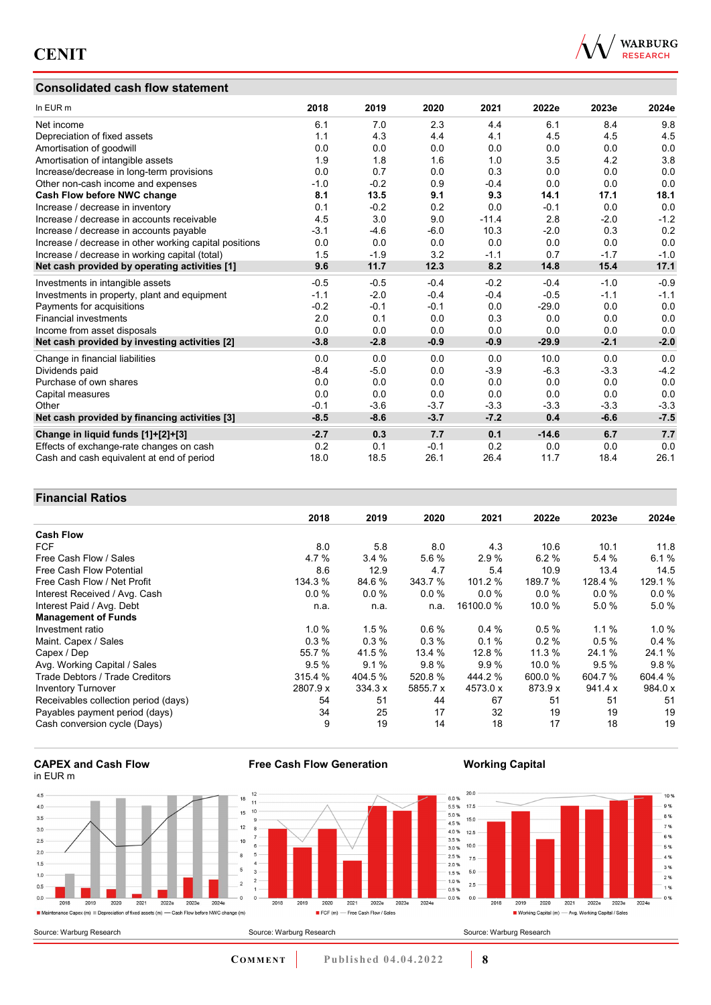## **Consolidated cash flow statement**



| In EUR m                                               | 2018   | 2019   | 2020   | 2021    | 2022e   | 2023e  | 2024e  |
|--------------------------------------------------------|--------|--------|--------|---------|---------|--------|--------|
| Net income                                             | 6.1    | 7.0    | 2.3    | 4.4     | 6.1     | 8.4    | 9.8    |
| Depreciation of fixed assets                           | 1.1    | 4.3    | 4.4    | 4.1     | 4.5     | 4.5    | 4.5    |
| Amortisation of goodwill                               | 0.0    | 0.0    | 0.0    | 0.0     | 0.0     | 0.0    | 0.0    |
| Amortisation of intangible assets                      | 1.9    | 1.8    | 1.6    | 1.0     | 3.5     | 4.2    | 3.8    |
| Increase/decrease in long-term provisions              | 0.0    | 0.7    | 0.0    | 0.3     | 0.0     | 0.0    | 0.0    |
| Other non-cash income and expenses                     | $-1.0$ | $-0.2$ | 0.9    | $-0.4$  | 0.0     | 0.0    | 0.0    |
| Cash Flow before NWC change                            | 8.1    | 13.5   | 9.1    | 9.3     | 14.1    | 17.1   | 18.1   |
| Increase / decrease in inventory                       | 0.1    | $-0.2$ | 0.2    | 0.0     | $-0.1$  | 0.0    | 0.0    |
| Increase / decrease in accounts receivable             | 4.5    | 3.0    | 9.0    | $-11.4$ | 2.8     | $-2.0$ | $-1.2$ |
| Increase / decrease in accounts payable                | $-3.1$ | $-4.6$ | $-6.0$ | 10.3    | $-2.0$  | 0.3    | 0.2    |
| Increase / decrease in other working capital positions | 0.0    | 0.0    | 0.0    | 0.0     | 0.0     | 0.0    | 0.0    |
| Increase / decrease in working capital (total)         | 1.5    | $-1.9$ | 3.2    | $-1.1$  | 0.7     | $-1.7$ | $-1.0$ |
| Net cash provided by operating activities [1]          | 9.6    | 11.7   | 12.3   | 8.2     | 14.8    | 15.4   | 17.1   |
| Investments in intangible assets                       | $-0.5$ | $-0.5$ | $-0.4$ | $-0.2$  | $-0.4$  | $-1.0$ | $-0.9$ |
| Investments in property, plant and equipment           | $-1.1$ | $-2.0$ | $-0.4$ | $-0.4$  | $-0.5$  | $-1.1$ | $-1.1$ |
| Payments for acquisitions                              | $-0.2$ | $-0.1$ | $-0.1$ | 0.0     | $-29.0$ | 0.0    | 0.0    |
| <b>Financial investments</b>                           | 2.0    | 0.1    | 0.0    | 0.3     | 0.0     | 0.0    | 0.0    |
| Income from asset disposals                            | 0.0    | 0.0    | 0.0    | 0.0     | 0.0     | 0.0    | 0.0    |
| Net cash provided by investing activities [2]          | $-3.8$ | $-2.8$ | $-0.9$ | $-0.9$  | $-29.9$ | $-2.1$ | $-2.0$ |
| Change in financial liabilities                        | 0.0    | 0.0    | 0.0    | 0.0     | 10.0    | 0.0    | 0.0    |
| Dividends paid                                         | $-8.4$ | $-5.0$ | 0.0    | $-3.9$  | $-6.3$  | $-3.3$ | $-4.2$ |
| Purchase of own shares                                 | 0.0    | 0.0    | 0.0    | 0.0     | 0.0     | 0.0    | 0.0    |
| Capital measures                                       | 0.0    | 0.0    | 0.0    | 0.0     | 0.0     | 0.0    | 0.0    |
| Other                                                  | $-0.1$ | $-3.6$ | $-3.7$ | $-3.3$  | $-3.3$  | $-3.3$ | $-3.3$ |
| Net cash provided by financing activities [3]          | $-8.5$ | $-8.6$ | $-3.7$ | $-7.2$  | 0.4     | $-6.6$ | $-7.5$ |
| Change in liquid funds [1]+[2]+[3]                     | $-2.7$ | 0.3    | 7.7    | 0.1     | $-14.6$ | 6.7    | 7.7    |
| Effects of exchange-rate changes on cash               | 0.2    | 0.1    | $-0.1$ | 0.2     | 0.0     | 0.0    | 0.0    |
| Cash and cash equivalent at end of period              | 18.0   | 18.5   | 26.1   | 26.4    | 11.7    | 18.4   | 26.1   |

## **Financial Ratios**

|                                      | 2018     | 2019    | 2020     | 2021      | 2022e   | 2023e   | 2024e    |
|--------------------------------------|----------|---------|----------|-----------|---------|---------|----------|
| <b>Cash Flow</b>                     |          |         |          |           |         |         |          |
| <b>FCF</b>                           | 8.0      | 5.8     | 8.0      | 4.3       | 10.6    | 10.1    | 11.8     |
| Free Cash Flow / Sales               | 4.7%     | 3.4%    | 5.6 %    | 2.9 %     | 6.2%    | 5.4%    | 6.1%     |
| Free Cash Flow Potential             | 8.6      | 12.9    | 4.7      | 5.4       | 10.9    | 13.4    | 14.5     |
| Free Cash Flow / Net Profit          | 134.3 %  | 84.6 %  | 343.7 %  | 101.2 %   | 189.7 % | 128.4 % | 129.1 %  |
| Interest Received / Avg. Cash        | 0.0%     | 0.0 %   | 0.0%     | $0.0\%$   | 0.0%    | 0.0%    | $0.0 \%$ |
| Interest Paid / Avg. Debt            | n.a.     | n.a.    | n.a.     | 16100.0 % | 10.0 %  | 5.0%    | 5.0%     |
| <b>Management of Funds</b>           |          |         |          |           |         |         |          |
| Investment ratio                     | 1.0%     | 1.5%    | 0.6%     | 0.4%      | 0.5%    | $1.1\%$ | $1.0 \%$ |
| Maint. Capex / Sales                 | 0.3%     | 0.3%    | 0.3%     | 0.1%      | 0.2%    | 0.5%    | 0.4%     |
| Capex / Dep                          | 55.7 %   | 41.5 %  | 13.4 %   | 12.8 %    | 11.3%   | 24.1 %  | 24.1 %   |
| Avg. Working Capital / Sales         | 9.5%     | 9.1%    | 9.8%     | 9.9%      | 10.0 %  | 9.5%    | 9.8%     |
| Trade Debtors / Trade Creditors      | 315.4 %  | 404.5 % | 520.8%   | 444.2 %   | 600.0 % | 604.7 % | 604.4 %  |
| <b>Inventory Turnover</b>            | 2807.9 x | 334.3 x | 5855.7 x | 4573.0 x  | 873.9 x | 941.4 x | 984.0 x  |
| Receivables collection period (days) | 54       | 51      | 44       | 67        | 51      | 51      | 51       |
| Payables payment period (days)       | 34       | 25      | 17       | 32        | 19      | 19      | 19       |
| Cash conversion cycle (Days)         | 9        | 19      | 14       | 18        | 17      | 18      | 19       |

#### **CAPEX and Cash Flow** in EUR m





 $\frac{1}{2019}$ 

 $2020$ 

 $2021$ 

FCF (m) - Free Cash Flow / Sales

2022e 2023e

## **Working Capital**



**COMMENT** Published 04.04.2022 **8** 

 $2024e$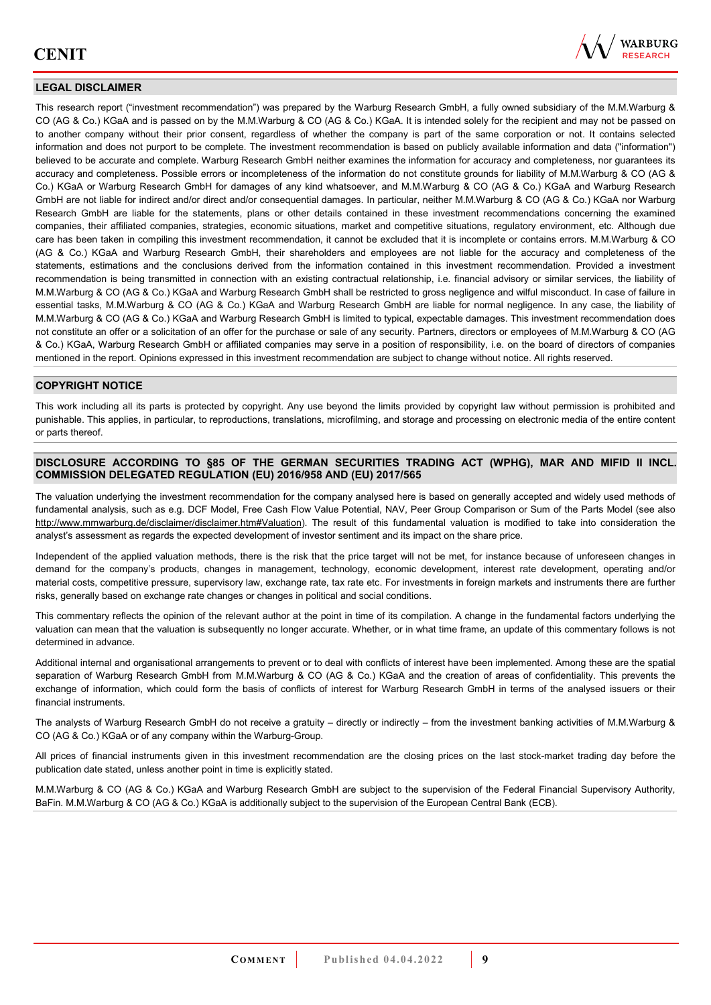

## **LEGAL DISCLAIMER**

This research report ("investment recommendation") was prepared by the Warburg Research GmbH, a fully owned subsidiary of the M.M.Warburg & CO (AG & Co.) KGaA and is passed on by the M.M.Warburg & CO (AG & Co.) KGaA. It is intended solely for the recipient and may not be passed on to another company without their prior consent, regardless of whether the company is part of the same corporation or not. It contains selected information and does not purport to be complete. The investment recommendation is based on publicly available information and data ("information") believed to be accurate and complete. Warburg Research GmbH neither examines the information for accuracy and completeness, nor guarantees its accuracy and completeness. Possible errors or incompleteness of the information do not constitute grounds for liability of M.M.Warburg & CO (AG & Co.) KGaA or Warburg Research GmbH for damages of any kind whatsoever, and M.M.Warburg & CO (AG & Co.) KGaA and Warburg Research GmbH are not liable for indirect and/or direct and/or consequential damages. In particular, neither M.M.Warburg & CO (AG & Co.) KGaA nor Warburg Research GmbH are liable for the statements, plans or other details contained in these investment recommendations concerning the examined companies, their affiliated companies, strategies, economic situations, market and competitive situations, regulatory environment, etc. Although due care has been taken in compiling this investment recommendation, it cannot be excluded that it is incomplete or contains errors. M.M.Warburg & CO (AG & Co.) KGaA and Warburg Research GmbH, their shareholders and employees are not liable for the accuracy and completeness of the statements, estimations and the conclusions derived from the information contained in this investment recommendation. Provided a investment recommendation is being transmitted in connection with an existing contractual relationship, i.e. financial advisory or similar services, the liability of M.M.Warburg & CO (AG & Co.) KGaA and Warburg Research GmbH shall be restricted to gross negligence and wilful misconduct. In case of failure in essential tasks, M.M.Warburg & CO (AG & Co.) KGaA and Warburg Research GmbH are liable for normal negligence. In any case, the liability of M.M.Warburg & CO (AG & Co.) KGaA and Warburg Research GmbH is limited to typical, expectable damages. This investment recommendation does not constitute an offer or a solicitation of an offer for the purchase or sale of any security. Partners, directors or employees of M.M.Warburg & CO (AG & Co.) KGaA, Warburg Research GmbH or affiliated companies may serve in a position of responsibility, i.e. on the board of directors of companies mentioned in the report. Opinions expressed in this investment recommendation are subject to change without notice. All rights reserved.

## **COPYRIGHT NOTICE**

This work including all its parts is protected by copyright. Any use beyond the limits provided by copyright law without permission is prohibited and punishable. This applies, in particular, to reproductions, translations, microfilming, and storage and processing on electronic media of the entire content or parts thereof.

### **DISCLOSURE ACCORDING TO §85 OF THE GERMAN SECURITIES TRADING ACT (WPHG), MAR AND MIFID II INCL. COMMISSION DELEGATED REGULATION (EU) 2016/958 AND (EU) 2017/565**

The valuation underlying the investment recommendation for the company analysed here is based on generally accepted and widely used methods of fundamental analysis, such as e.g. DCF Model, Free Cash Flow Value Potential, NAV, Peer Group Comparison or Sum of the Parts Model (see also [http://www.mmwarburg.de/disclaimer/disclaimer.htm#Valuation\)](http://www.mmwarburg.de/disclaimer/disclaimer.htm#Valuation). The result of this fundamental valuation is modified to take into consideration the analyst's assessment as regards the expected development of investor sentiment and its impact on the share price.

Independent of the applied valuation methods, there is the risk that the price target will not be met, for instance because of unforeseen changes in demand for the company's products, changes in management, technology, economic development, interest rate development, operating and/or material costs, competitive pressure, supervisory law, exchange rate, tax rate etc. For investments in foreign markets and instruments there are further risks, generally based on exchange rate changes or changes in political and social conditions.

This commentary reflects the opinion of the relevant author at the point in time of its compilation. A change in the fundamental factors underlying the valuation can mean that the valuation is subsequently no longer accurate. Whether, or in what time frame, an update of this commentary follows is not determined in advance.

Additional internal and organisational arrangements to prevent or to deal with conflicts of interest have been implemented. Among these are the spatial separation of Warburg Research GmbH from M.M.Warburg & CO (AG & Co.) KGaA and the creation of areas of confidentiality. This prevents the exchange of information, which could form the basis of conflicts of interest for Warburg Research GmbH in terms of the analysed issuers or their financial instruments.

The analysts of Warburg Research GmbH do not receive a gratuity – directly or indirectly – from the investment banking activities of M.M.Warburg & CO (AG & Co.) KGaA or of any company within the Warburg-Group.

All prices of financial instruments given in this investment recommendation are the closing prices on the last stock-market trading day before the publication date stated, unless another point in time is explicitly stated.

M.M.Warburg & CO (AG & Co.) KGaA and Warburg Research GmbH are subject to the supervision of the Federal Financial Supervisory Authority, BaFin. M.M.Warburg & CO (AG & Co.) KGaA is additionally subject to the supervision of the European Central Bank (ECB).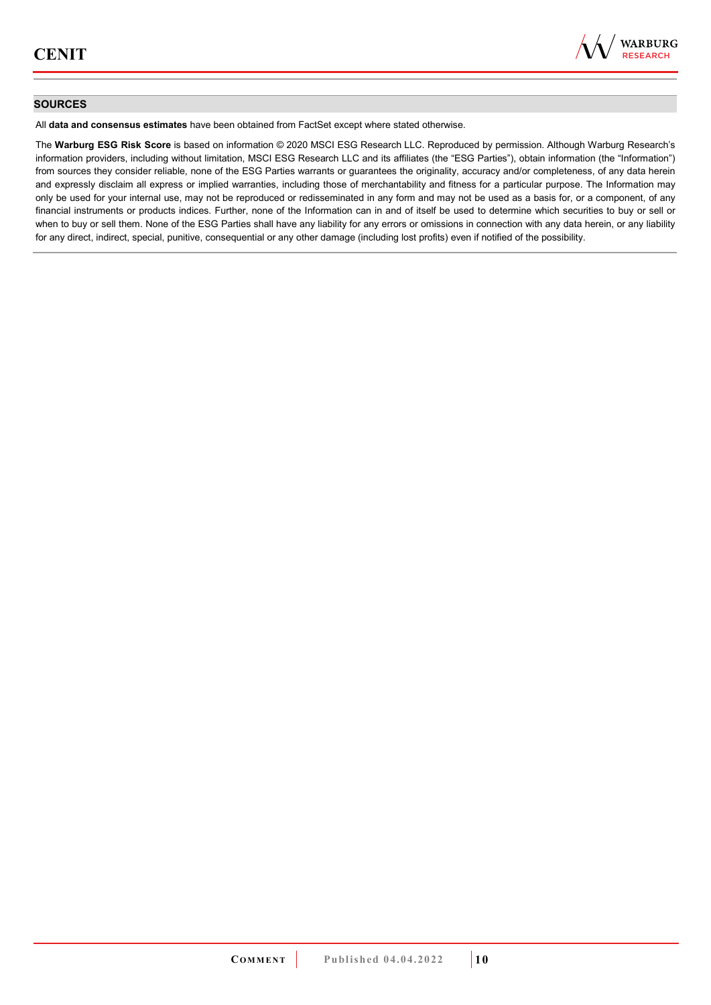

### **SOURCES**

All **data and consensus estimates** have been obtained from FactSet except where stated otherwise.

The **Warburg ESG Risk Score** is based on information © 2020 MSCI ESG Research LLC. Reproduced by permission. Although Warburg Research's information providers, including without limitation, MSCI ESG Research LLC and its affiliates (the "ESG Parties"), obtain information (the "Information") from sources they consider reliable, none of the ESG Parties warrants or guarantees the originality, accuracy and/or completeness, of any data herein and expressly disclaim all express or implied warranties, including those of merchantability and fitness for a particular purpose. The Information may only be used for your internal use, may not be reproduced or redisseminated in any form and may not be used as a basis for, or a component, of any financial instruments or products indices. Further, none of the Information can in and of itself be used to determine which securities to buy or sell or when to buy or sell them. None of the ESG Parties shall have any liability for any errors or omissions in connection with any data herein, or any liability for any direct, indirect, special, punitive, consequential or any other damage (including lost profits) even if notified of the possibility.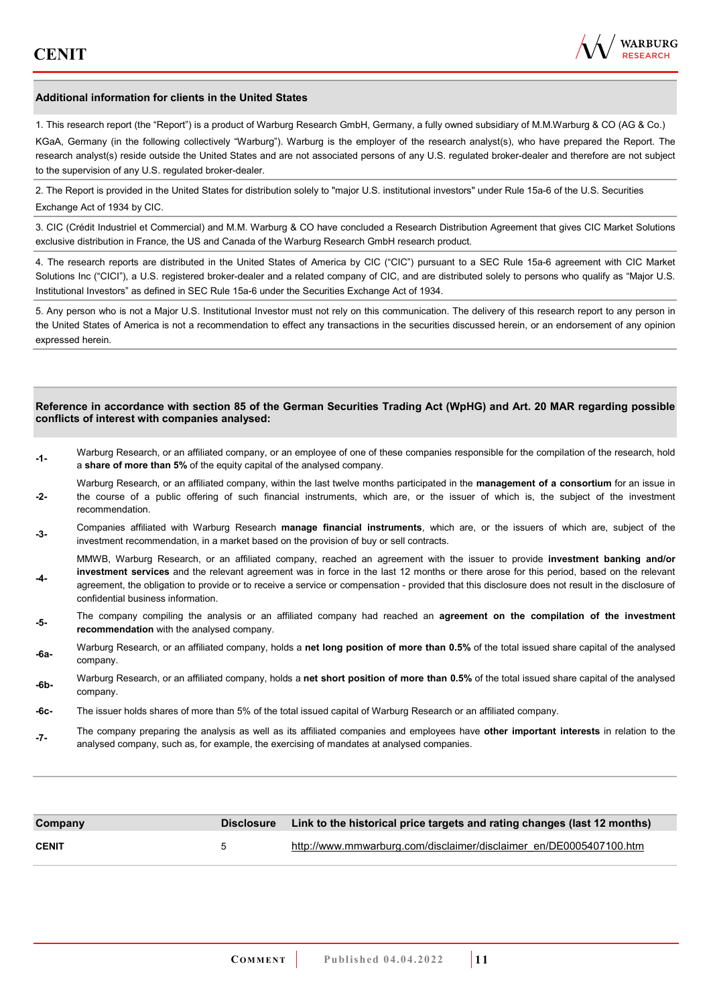

#### **Additional information for clients in the United States**

1. This research report (the "Report") is a product of Warburg Research GmbH, Germany, a fully owned subsidiary of M.M.Warburg & CO (AG & Co.)

KGaA, Germany (in the following collectively "Warburg"). Warburg is the employer of the research analyst(s), who have prepared the Report. The research analyst(s) reside outside the United States and are not associated persons of any U.S. regulated broker-dealer and therefore are not subject to the supervision of any U.S. regulated broker-dealer.

2. The Report is provided in the United States for distribution solely to "major U.S. institutional investors" under Rule 15a-6 of the U.S. Securities Exchange Act of 1934 by CIC.

3. CIC (Crédit Industriel et Commercial) and M.M. Warburg & CO have concluded a Research Distribution Agreement that gives CIC Market Solutions exclusive distribution in France, the US and Canada of the Warburg Research GmbH research product.

4. The research reports are distributed in the United States of America by CIC ("CIC") pursuant to a SEC Rule 15a-6 agreement with CIC Market Solutions Inc ("CICI"), a U.S. registered broker-dealer and a related company of CIC, and are distributed solely to persons who qualify as "Major U.S. Institutional Investors" as defined in SEC Rule 15a-6 under the Securities Exchange Act of 1934.

5. Any person who is not a Major U.S. Institutional Investor must not rely on this communication. The delivery of this research report to any person in the United States of America is not a recommendation to effect any transactions in the securities discussed herein, or an endorsement of any opinion expressed herein.

#### **Reference in accordance with section 85 of the German Securities Trading Act (WpHG) and Art. 20 MAR regarding possible conflicts of interest with companies analysed:**

- **-1-** Warburg Research, or an affiliated company, or an employee of one of these companies responsible for the compilation of the research, hold a **share of more than 5%** of the equity capital of the analysed company.
- **-2-**  Warburg Research, or an affiliated company, within the last twelve months participated in the **management of a consortium** for an issue in the course of a public offering of such financial instruments, which are, or the issuer of which is, the subject of the investment recommendation.
- **-3-** Companies affiliated with Warburg Research **manage financial instruments**, which are, or the issuers of which are, subject of the investment recommendation, in a market based on the provision of buy or sell contracts.

MMWB, Warburg Research, or an affiliated company, reached an agreement with the issuer to provide **investment banking and/or investment services** and the relevant agreement was in force in the last 12 months or there arose for this period, based on the relevant

- **-4**  agreement, the obligation to provide or to receive a service or compensation - provided that this disclosure does not result in the disclosure of confidential business information.
- **-5-** The company compiling the analysis or an affiliated company had reached an **agreement on the compilation of the investment recommendation** with the analysed company.
- **-6a-** Warburg Research, or an affiliated company, holds a **net long position of more than 0.5%** of the total issued share capital of the analysed company.
- **-6b-** Warburg Research, or an affiliated company, holds a **net short position of more than 0.5%** of the total issued share capital of the analysed company.
- **-6c-** The issuer holds shares of more than 5% of the total issued capital of Warburg Research or an affiliated company.
- **-7-** The company preparing the analysis as well as its affiliated companies and employees have **other important interests** in relation to the analysed company, such as, for example, the exercising of mandates at analysed companies.

| Company      |   | Disclosure Link to the historical price targets and rating changes (last 12 months) |
|--------------|---|-------------------------------------------------------------------------------------|
| <b>CENIT</b> | h | http://www.mmwarburg.com/disclaimer/disclaimer_en/DE0005407100.htm                  |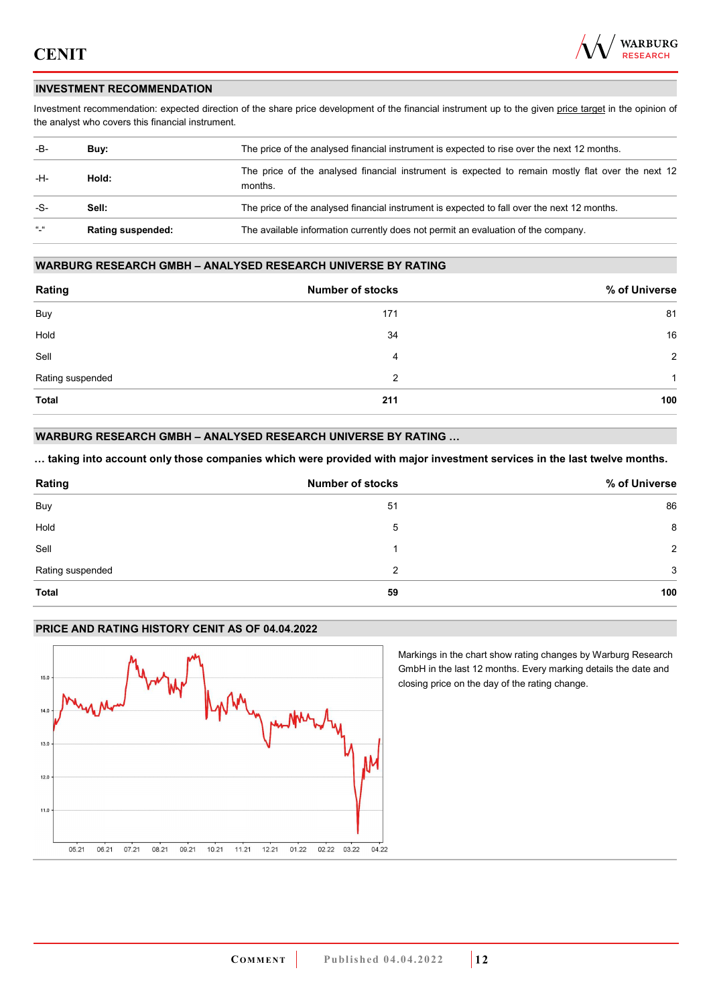

## **INVESTMENT RECOMMENDATION**

Investment recommendation: expected direction of the share price development of the financial instrument up to the given price target in the opinion of the analyst who covers this financial instrument.

| -B-           | Buy:                     | The price of the analysed financial instrument is expected to rise over the next 12 months.                  |  |  |
|---------------|--------------------------|--------------------------------------------------------------------------------------------------------------|--|--|
| -H-           | Hold:                    | The price of the analysed financial instrument is expected to remain mostly flat over the next 12<br>months. |  |  |
| -S-           | Sell:                    | The price of the analysed financial instrument is expected to fall over the next 12 months.                  |  |  |
| $\frac{1}{2}$ | <b>Rating suspended:</b> | The available information currently does not permit an evaluation of the company.                            |  |  |

#### **WARBURG RESEARCH GMBH – ANALYSED RESEARCH UNIVERSE BY RATING**

| Rating           | <b>Number of stocks</b> | % of Universe  |
|------------------|-------------------------|----------------|
| Buy              | 171                     | 81             |
| Hold             | 34                      | 16             |
| Sell             | 4                       | $\overline{2}$ |
| Rating suspended | 2                       | 1              |
| <b>Total</b>     | 211                     | 100            |

## **WARBURG RESEARCH GMBH – ANALYSED RESEARCH UNIVERSE BY RATING …**

**… taking into account only those companies which were provided with major investment services in the last twelve months.** 

| Rating           | <b>Number of stocks</b> | % of Universe |
|------------------|-------------------------|---------------|
| Buy              | 51                      | 86            |
| Hold             | 5                       | 8             |
| Sell             |                         | 2             |
| Rating suspended | 2                       | 3             |
| <b>Total</b>     | 59                      | 100           |

## **PRICE AND RATING HISTORY CENIT AS OF 04.04.2022**



Markings in the chart show rating changes by Warburg Research GmbH in the last 12 months. Every marking details the date and closing price on the day of the rating change.